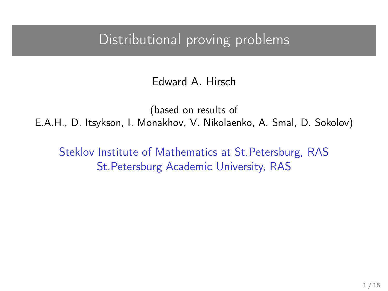## Distributional proving problems

Edward A. Hirsch

(based on results of E.A.H., D. Itsykson, I. Monakhov, V. Nikolaenko, A. Smal, D. Sokolov)

Steklov Institute of Mathematics at St.Petersburg, RAS St.Petersburg Academic University, RAS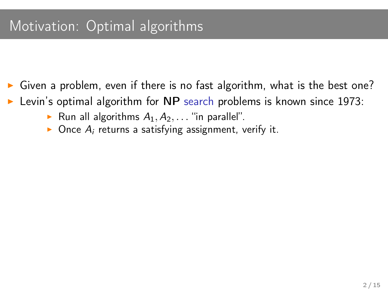- Given a problem, even if there is no fast algorithm, what is the best one?
- Levin's optimal algorithm for NP search problems is known since 1973:
	- Run all algorithms  $A_1, A_2, \ldots$  "in parallel".
	- $\triangleright$  Once  $A_i$  returns a satisfying assignment, verify it.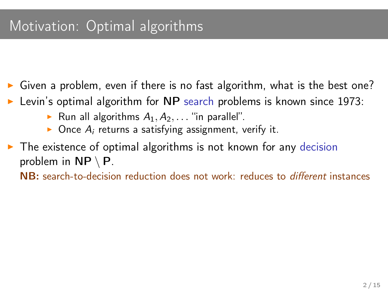## Motivation: Optimal algorithms

- Given a problem, even if there is no fast algorithm, what is the best one?
- Levin's optimal algorithm for NP search problems is known since 1973:
	- Run all algorithms  $A_1, A_2, \ldots$  "in parallel".
	- $\triangleright$  Once  $A_i$  returns a satisfying assignment, verify it.
- $\triangleright$  The existence of optimal algorithms is not known for any decision problem in  $NP \setminus P$ .

NB: search-to-decision reduction does not work: reduces to different instances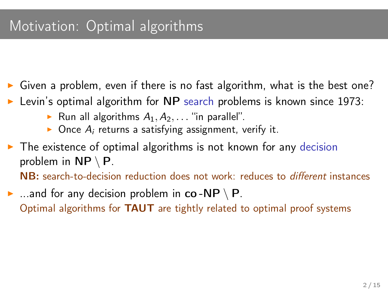## Motivation: Optimal algorithms

- Given a problem, even if there is no fast algorithm, what is the best one?
- Levin's optimal algorithm for NP search problems is known since 1973:
	- Run all algorithms  $A_1, A_2, \ldots$  "in parallel".
	- $\triangleright$  Once  $A_i$  returns a satisfying assignment, verify it.
- $\triangleright$  The existence of optimal algorithms is not known for any decision problem in  $NP \setminus P$ .

NB: search-to-decision reduction does not work: reduces to different instances

 $\triangleright$  ...and for any decision problem in co-NP \ P. Optimal algorithms for TAUT are tightly related to optimal proof systems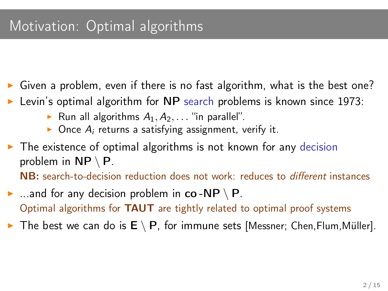## Motivation: Optimal algorithms

- Given a problem, even if there is no fast algorithm, what is the best one?
- Levin's optimal algorithm for NP search problems is known since 1973:
	- Run all algorithms  $A_1, A_2, \ldots$  "in parallel".
	- $\triangleright$  Once  $A_i$  returns a satisfying assignment, verify it.
- $\triangleright$  The existence of optimal algorithms is not known for any decision problem in  $NP \setminus P$ .

NB: search-to-decision reduction does not work: reduces to different instances

 $\blacktriangleright$  ...and for any decision problem in co-NP \ P. Optimal algorithms for TAUT are tightly related to optimal proof systems

**►** The best we can do is  $E \setminus P$ , for immune sets [Messner; Chen, Flum, Müller].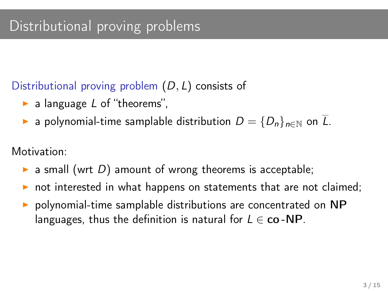Distributional proving problem (D, L) consists of

- $\blacktriangleright$  a language L of "theorems",
- **►** a polynomial-time samplable distribution  $D = \{D_n\}_{n \in \mathbb{N}}$  on  $\overline{L}$ .

Motivation:

- **a** small (wrt D) amount of wrong theorems is acceptable;
- not interested in what happens on statements that are not claimed;
- polynomial-time samplable distributions are concentrated on NP languages, thus the definition is natural for  $L \in \mathbf{co} - \mathbf{NP}$ .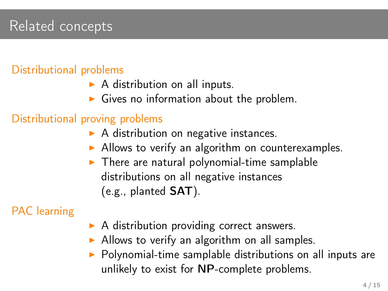## Related concepts

#### Distributional problems

- $\triangleright$  A distribution on all inputs.
- $\triangleright$  Gives no information about the problem.

#### Distributional proving problems

- $\triangleright$  A distribution on negative instances.
- $\triangleright$  Allows to verify an algorithm on counterexamples.
- $\triangleright$  There are natural polynomial-time samplable distributions on all negative instances (e.g., planted SAT).

#### PAC learning

- $\triangleright$  A distribution providing correct answers.
- $\triangleright$  Allows to verify an algorithm on all samples.
- $\triangleright$  Polynomial-time samplable distributions on all inputs are unlikely to exist for NP-complete problems.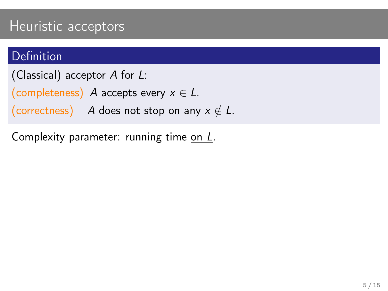### **Definition**

(Classical) acceptor A for L:

(completeness) A accepts every  $x \in L$ .

(correctness) A does not stop on any  $x \notin L$ .

Complexity parameter: running time on L.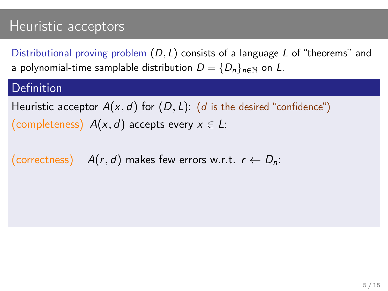Distributional proving problem  $(D, L)$  consists of a language L of "theorems" and a polynomial-time samplable distribution  $D = \{D_n\}_{n \in \mathbb{N}}$  on  $\overline{L}$ .

#### Definition

Heuristic acceptor  $A(x, d)$  for  $(D, L)$ : (d is the desired "confidence") (completeness)  $A(x, d)$  accepts every  $x \in L$ :

(correctness)  $A(r, d)$  makes few errors w.r.t.  $r \leftarrow D_n$ :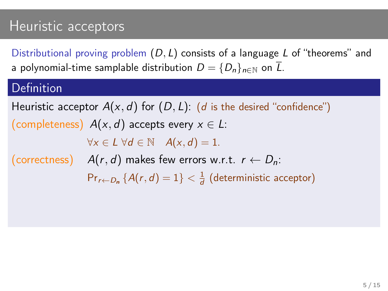Distributional proving problem  $(D, L)$  consists of a language L of "theorems" and a polynomial-time samplable distribution  $D = \{D_n\}_{n \in \mathbb{N}}$  on  $\overline{L}$ .

#### Definition

Heuristic acceptor  $A(x, d)$  for  $(D, L)$ : (d is the desired "confidence") (completeness)  $A(x, d)$  accepts every  $x \in L$ :  $\forall x \in L \ \forall d \in \mathbb{N} \quad A(x, d) = 1.$ (correctness)  $A(r, d)$  makes few errors w.r.t.  $r \leftarrow D_n$ :  $Pr_{r \leftarrow D_n} \{A(r, d) = 1\} < \frac{1}{d}$  (deterministic acceptor)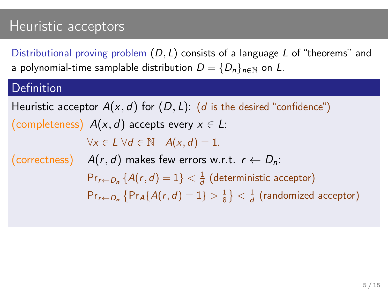Distributional proving problem  $(D, L)$  consists of a language L of "theorems" and a polynomial-time samplable distribution  $D = \{D_n\}_{n \in \mathbb{N}}$  on  $\overline{L}$ .

#### Definition

Heuristic acceptor  $A(x, d)$  for  $(D, L)$ : (d is the desired "confidence") (completeness)  $A(x, d)$  accepts every  $x \in L$ :  $\forall x \in L \ \forall d \in \mathbb{N} \quad A(x, d) = 1.$ (correctness)  $A(r, d)$  makes few errors w.r.t.  $r \leftarrow D_n$ :  $Pr_{r \leftarrow D_n} \{A(r, d) = 1\} < \frac{1}{d}$  (deterministic acceptor)  $\mathsf{Pr}_{r \leftarrow D_n} \left\{ \mathsf{Pr}_A \{ A(r, d) = 1 \} > \frac{1}{8} \right\} < \frac{1}{d}$  (randomized acceptor)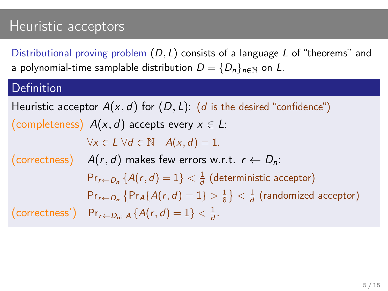Distributional proving problem  $(D, L)$  consists of a language L of "theorems" and a polynomial-time samplable distribution  $D = \{D_n\}_{n \in \mathbb{N}}$  on  $\overline{L}$ .

#### Definition

Heuristic acceptor  $A(x, d)$  for  $(D, L)$ : (d is the desired "confidence") (completeness)  $A(x, d)$  accepts every  $x \in L$ :  $\forall x \in L \ \forall d \in \mathbb{N} \quad A(x, d) = 1.$ (correctness)  $A(r, d)$  makes few errors w.r.t.  $r \leftarrow D_n$ :  $Pr_{r \leftarrow D_n} \{A(r, d) = 1\} < \frac{1}{d}$  (deterministic acceptor)  $\mathsf{Pr}_{r \leftarrow D_n} \left\{ \mathsf{Pr}_A \{ A(r, d) = 1 \} > \frac{1}{8} \right\} < \frac{1}{d}$  (randomized acceptor) (correctness') Pr<sub>r</sub><sub>←Dn</sub>;  $A\{A(r,d)=1\} < \frac{1}{d}$ .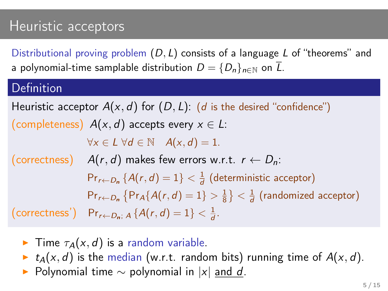Distributional proving problem  $(D, L)$  consists of a language L of "theorems" and a polynomial-time samplable distribution  $D = \{D_n\}_{n \in \mathbb{N}}$  on  $\overline{L}$ .

#### Definition

Heuristic acceptor  $A(x, d)$  for  $(D, L)$ : (d is the desired "confidence") (completeness)  $A(x, d)$  accepts every  $x \in L$ :  $\forall x \in L \ \forall d \in \mathbb{N} \quad A(x, d) = 1.$ (correctness)  $A(r, d)$  makes few errors w.r.t.  $r \leftarrow D_n$ :  $Pr_{r \leftarrow D_n} \{A(r, d) = 1\} < \frac{1}{d}$  (deterministic acceptor)  $\mathsf{Pr}_{r \leftarrow D_n} \left\{ \mathsf{Pr}_A \{ A(r, d) = 1 \} > \frac{1}{8} \right\} < \frac{1}{d}$  (randomized acceptor) (correctness') Pr<sub>r</sub><sub>←Dn</sub>;  $A\{A(r,d)=1\} < \frac{1}{d}$ .

- **Fime**  $\tau_A(x, d)$  is a random variable.
- $\blacktriangleright$   $t_A(x, d)$  is the median (w.r.t. random bits) running time of  $A(x, d)$ .
- Polynomial time  $\sim$  polynomial in |x| and d.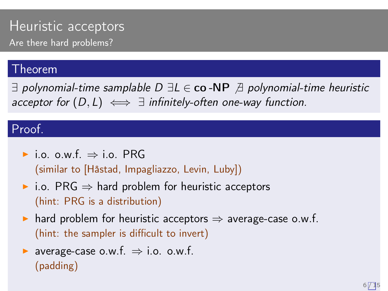### Heuristic acceptors Are there hard problems?

#### Theorem

 $\exists$  polynomial-time samplable D  $\exists L \in \mathbf{co}$  -NP  $\exists$  polynomial-time heuristic acceptor for  $(D, L) \iff \exists$  infinitely-often one-way function.

#### Proof.

 $\triangleright$  i.o. o.w.f.  $\Rightarrow$  i.o. PRG (similar to [Håstad, Impagliazzo, Levin, Luby])

- $\triangleright$  i.o. PRG  $\Rightarrow$  hard problem for heuristic acceptors (hint: PRG is a distribution)
- $\triangleright$  hard problem for heuristic acceptors  $\Rightarrow$  average-case o.w.f. (hint: the sampler is difficult to invert)
- $\triangleright$  average-case o.w.f.  $\Rightarrow$  i.o. o.w.f. (padding)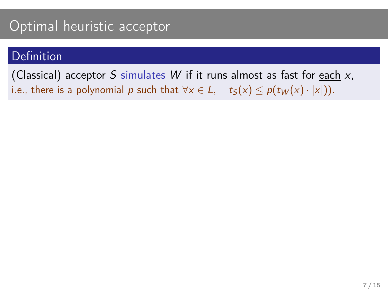#### **Definition**

(Classical) acceptor S simulates  $W$  if it runs almost as fast for each  $x$ , i.e., there is a polynomial p such that  $\forall x \in L$ ,  $t_S(x) \leq p(t_W(x) \cdot |x|)$ .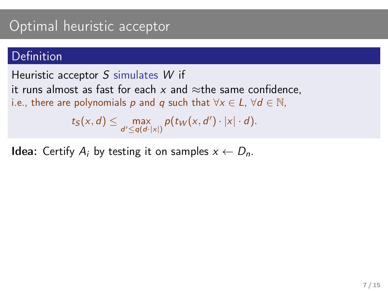#### Definition

#### Heuristic acceptor S simulates W if

it runs almost as fast for each x and  $\approx$ the same confidence.

i.e., there are polynomials p and q such that  $\forall x \in L$ ,  $\forall d \in \mathbb{N}$ ,

 $t_S(x,d) \leq \max_{d' \leq q(d \cdot |x|)} p(t_W(x,d') \cdot |x| \cdot d).$ 

**Idea:** Certify  $A_i$  by testing it on samples  $x \leftarrow D_n$ .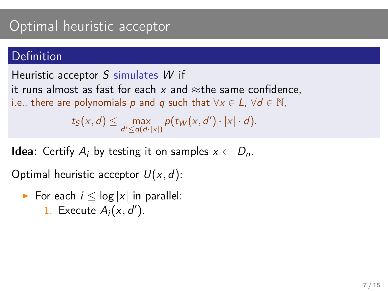#### Definition

Heuristic acceptor S simulates W if

it runs almost as fast for each  $x$  and  $\approx$ the same confidence,

i.e., there are polynomials p and q such that  $\forall x \in L$ ,  $\forall d \in \mathbb{N}$ ,

 $t_S(x,d) \leq \max_{d' \leq q(d \cdot |x|)} p(t_W(x,d') \cdot |x| \cdot d).$ 

**Idea:** Certify  $A_i$  by testing it on samples  $x \leftarrow D_n$ .

Optimal heuristic acceptor  $U(x, d)$ :

For each  $i \leq \log |x|$  in parallel: 1. Execute  $A_i(x, d')$ .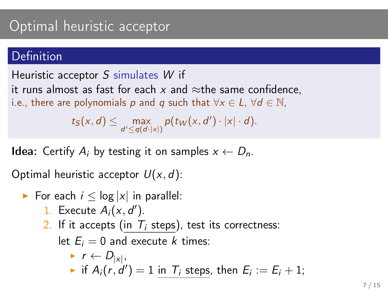#### Definition

Heuristic acceptor S simulates W if

it runs almost as fast for each x and  $\approx$ the same confidence.

i.e., there are polynomials p and q such that  $\forall x \in L$ ,  $\forall d \in \mathbb{N}$ ,

 $t_S(x, d) \leq \max_{d' \leq q(d \cdot |x|)} p(t_W(x, d') \cdot |x| \cdot d).$ 

**Idea:** Certify  $A_i$  by testing it on samples  $x \leftarrow D_n$ .

Optimal heuristic acceptor  $U(x, d)$ :

- For each  $i \leq \log |x|$  in parallel:
	- 1. Execute  $A_i(x, d')$ .
	- 2. If it accepts (in  $T_i$  steps), test its correctness:

let  $E_i = 0$  and execute k times:

$$
\begin{array}{l}\n\star \quad r \leftarrow D_{|x|}, \\
\star \quad \text{if } A_i(r, d') = 1 \text{ in } \mathcal{T}_i \text{ steps, then } E_i := E_i + 1;\n\end{array}
$$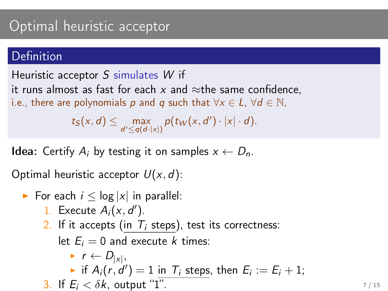#### Definition

Heuristic acceptor S simulates W if

it runs almost as fast for each x and  $\approx$ the same confidence.

i.e., there are polynomials p and q such that  $\forall x \in L$ ,  $\forall d \in \mathbb{N}$ ,

 $t_S(x, d) \leq \max_{d' \leq q(d \cdot |x|)} p(t_W(x, d') \cdot |x| \cdot d).$ 

**Idea:** Certify  $A_i$  by testing it on samples  $x \leftarrow D_n$ .

Optimal heuristic acceptor  $U(x, d)$ :

► For each 
$$
i \leq \log |x|
$$
 in parallel:

- 1. Execute  $A_i(x, d')$ .
- 2. If it accepts (in  $T_i$  steps), test its correctness:

let  $E_i = 0$  and execute k times:

\n- $$
r \leftarrow D_{|x|}
$$
,
\n- if  $A_i(r, d') = 1$  in  $T_i$  steps, then  $E_i := E_i + 1$ ;
\n- If  $E_i < \delta k$ , output "1".
\n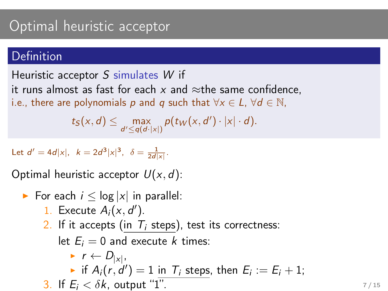#### **Definition**

Heuristic acceptor S simulates W if

it runs almost as fast for each x and  $\approx$ the same confidence.

i.e., there are polynomials p and q such that  $\forall x \in L$ ,  $\forall d \in \mathbb{N}$ ,

 $t_S(x, d) \leq \max_{d' \leq q(d \cdot |x|)} p(t_W(x, d') \cdot |x| \cdot d).$ 

Let  $d' = 4d|x|$ ,  $k = 2d^3|x|^3$ ,  $\delta = \frac{1}{2d|x|}$ .

Optimal heuristic acceptor  $U(x, d)$ :

- For each  $i \leq \log |x|$  in parallel:
	- 1. Execute  $A_i(x, d')$ .
	- 2. If it accepts (in  $T_i$  steps), test its correctness:

let  $E_i = 0$  and execute k times:

\n- $$
r \leftarrow D_{|x|}
$$
,
\n- if  $A_i(r, d') = 1$  in  $T_i$  steps, then  $E_i := E_i + 1$ ;
\n- If  $E_i < \delta k$ , output "1".
\n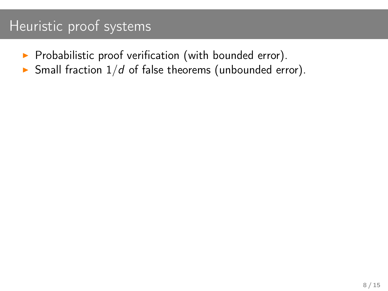# Heuristic proof systems

- $\blacktriangleright$  Probabilistic proof verification (with bounded error).
- $\blacktriangleright$  Small fraction  $1/d$  of false theorems (unbounded error).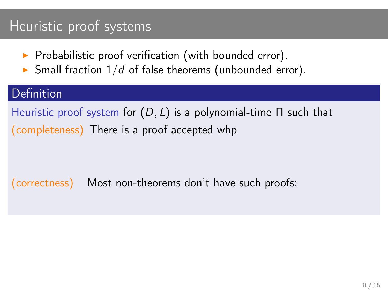## Heuristic proof systems

- $\triangleright$  Probabilistic proof verification (with bounded error).
- $\triangleright$  Small fraction  $1/d$  of false theorems (unbounded error).

#### Definition

Heuristic proof system for  $(D, L)$  is a polynomial-time Π such that (completeness) There is a proof accepted whp

(correctness) Most non-theorems don't have such proofs: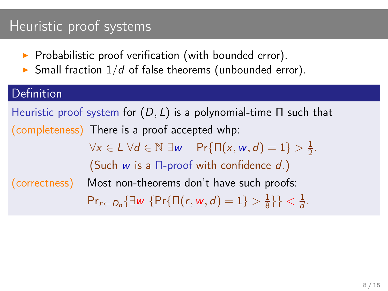## Heuristic proof systems

- $\blacktriangleright$  Probabilistic proof verification (with bounded error).
- $\triangleright$  Small fraction  $1/d$  of false theorems (unbounded error).

### Definition

Heuristic proof system for  $(D, L)$  is a polynomial-time Π such that (completeness) There is a proof accepted whp:  $\forall x \in L \ \forall d \in \mathbb{N} \ \exists w \ \ \Pr{\{\Pi(x, w, d) = 1\}} > \frac{1}{2}$  $\frac{1}{2}$ . (Such  $w$  is a  $\Pi$ -proof with confidence  $d$ .) (correctness) Most non-theorems don't have such proofs:  $Pr_{r \leftarrow D_n} {\exists w \{Pr\{\Pi(r, w, d) = 1\}} > \frac{1}{8}$  $\frac{1}{8}\}$  <  $\frac{1}{d}$  $\frac{1}{d}$ .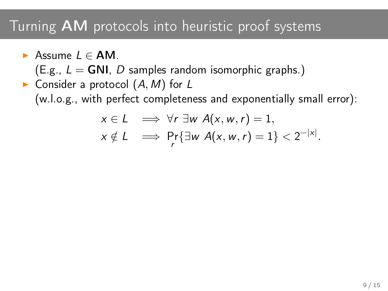- Assume  $L \in AM$ .
	- $(E.g., L = GNI, D$  samples random isomorphic graphs.)
- Consider a protocol  $(A, M)$  for L (w.l.o.g., with perfect completeness and exponentially small error):

$$
x \in L \implies \forall r \exists w \ A(x, w, r) = 1,
$$
  

$$
x \notin L \implies \Pr_{r} \{\exists w \ A(x, w, r) = 1\} < 2^{-|x|}.
$$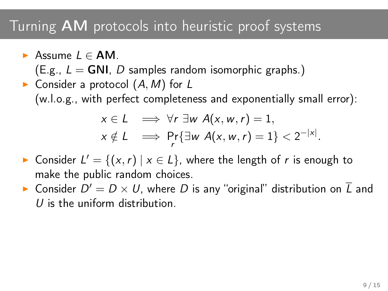- $\triangleright$  Assume  $L \in AM$ .
	- $(E.g., L = GNI, D$  samples random isomorphic graphs.)
- Consider a protocol  $(A, M)$  for L (w.l.o.g., with perfect completeness and exponentially small error):

$$
x \in L \implies \forall r \exists w \ A(x, w, r) = 1,
$$
  

$$
x \notin L \implies \Pr_{r} \{\exists w \ A(x, w, r) = 1\} < 2^{-|x|}.
$$

- ► Consider  $L' = \{(x, r) | x \in L\}$ , where the length of r is enough to make the public random choices.
- $\blacktriangleright$  Consider  $D' = D \times U$ , where  $D$  is any "original" distribution on  $\overline{L}$  and U is the uniform distribution.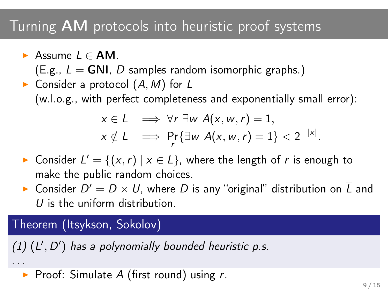- Assume  $L \in AM$ .
	- $(E.g., L = GNI, D$  samples random isomorphic graphs.)
- Consider a protocol  $(A, M)$  for L (w.l.o.g., with perfect completeness and exponentially small error):

$$
x \in L \implies \forall r \exists w \ A(x, w, r) = 1,
$$
  

$$
x \notin L \implies \Pr_{r} \{\exists w \ A(x, w, r) = 1\} < 2^{-|x|}.
$$

- ► Consider  $L' = \{(x, r) | x \in L\}$ , where the length of r is enough to make the public random choices.
- $\blacktriangleright$  Consider  $D' = D \times U$ , where  $D$  is any "original" distribution on  $\overline{L}$  and U is the uniform distribution.

### Theorem (Itsykson, Sokolov)

. . .

(1)  $(L', D')$  has a polynomially bounded heuristic p.s.

Proof: Simulate A (first round) using  $r$ .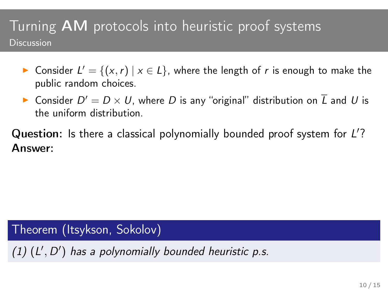- ► Consider  $L' = \{(x, r) \mid x \in L\}$ , where the length of r is enough to make the public random choices.
- $\blacktriangleright$  Consider  $D' = D \times U$ , where  $D$  is any "original" distribution on  $\overline{L}$  and  $U$  is the uniform distribution.

Question: Is there a classical polynomially bounded proof system for L'? Answer:

Theorem (Itsykson, Sokolov)

 $(1)$   $(L', D')$  has a polynomially bounded heuristic p.s.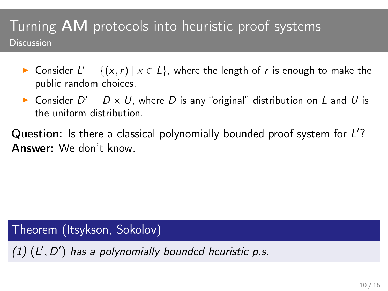- ► Consider  $L' = \{(x, r) \mid x \in L\}$ , where the length of r is enough to make the public random choices.
- $\blacktriangleright$  Consider  $D' = D \times U$ , where  $D$  is any "original" distribution on  $\overline{L}$  and  $U$  is the uniform distribution.

Question: Is there a classical polynomially bounded proof system for L'? Answer: We don't know.

Theorem (Itsykson, Sokolov)

 $(1)$   $(L', D')$  has a polynomially bounded heuristic p.s.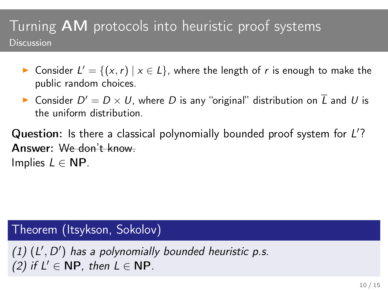- ► Consider  $L' = \{(x, r) \mid x \in L\}$ , where the length of r is enough to make the public random choices.
- $\blacktriangleright$  Consider  $D' = D \times U$ , where  $D$  is any "original" distribution on  $\overline{L}$  and  $U$  is the uniform distribution.

Question: Is there a classical polynomially bounded proof system for L'? Answer: We don't know. Implies  $L \in \mathbb{NP}$ .

Theorem (Itsykson, Sokolov)

 $(1)$   $(L', D')$  has a polynomially bounded heuristic p.s. (2) if  $L' \in \mathbb{NP}$ , then  $L \in \mathbb{NP}$ .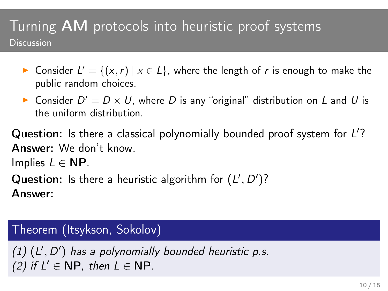- ► Consider  $L' = \{(x, r) \mid x \in L\}$ , where the length of r is enough to make the public random choices.
- $\blacktriangleright$  Consider  $D' = D \times U$ , where  $D$  is any "original" distribution on  $\overline{L}$  and  $U$  is the uniform distribution.

Question: Is there a classical polynomially bounded proof system for L'? Answer: We don't know.

Implies  $L \in \mathbb{NP}$ .

Question: Is there a heuristic algorithm for  $(L', D')$ ? Answer:

#### Theorem (Itsykson, Sokolov)

 $(1)$   $(L', D')$  has a polynomially bounded heuristic p.s. (2) if  $L' \in \mathbb{NP}$ , then  $L \in \mathbb{NP}$ .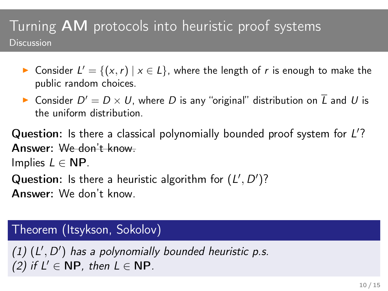- ► Consider  $L' = \{(x, r) \mid x \in L\}$ , where the length of r is enough to make the public random choices.
- $\blacktriangleright$  Consider  $D' = D \times U$ , where  $D$  is any "original" distribution on  $\overline{L}$  and  $U$  is the uniform distribution.

Question: Is there a classical polynomially bounded proof system for L'? Answer: We don't know. Implies  $L \in \mathbb{NP}$ .

Question: Is there a heuristic algorithm for  $(L', D')$ ? Answer: We don't know.

#### Theorem (Itsykson, Sokolov)

 $(1)$   $(L', D')$  has a polynomially bounded heuristic p.s. (2) if  $L' \in \mathbb{NP}$ , then  $L \in \mathbb{NP}$ .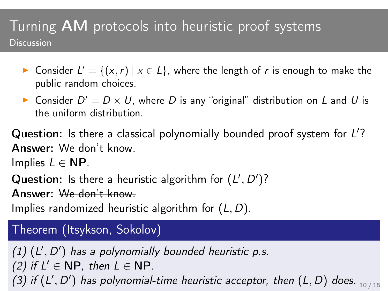- ► Consider  $L' = \{(x, r) \mid x \in L\}$ , where the length of r is enough to make the public random choices.
- $\blacktriangleright$  Consider  $D' = D \times U$ , where  $D$  is any "original" distribution on  $\overline{L}$  and  $U$  is the uniform distribution.

Question: Is there a classical polynomially bounded proof system for L'? Answer: We don't know.

Implies  $L \in \mathbb{NP}$ .

Question: Is there a heuristic algorithm for  $(L', D')$ ?

Answer: We don't know.

Implies randomized heuristic algorithm for  $(L, D)$ .

### Theorem (Itsykson, Sokolov)

 $(1)$   $(L', D')$  has a polynomially bounded heuristic p.s. (2) if  $L' \in \mathbb{NP}$ , then  $L \in \mathbb{NP}$ . (3) if  $(L', D')$  has polynomial-time heuristic acceptor, then  $(L, D)$  does.  $_{10/15}$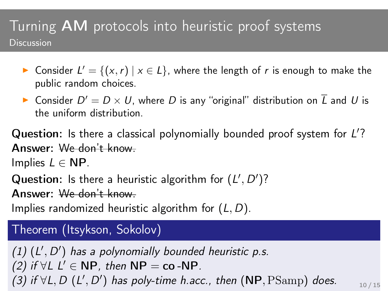- ► Consider  $L' = \{(x, r) \mid x \in L\}$ , where the length of r is enough to make the public random choices.
- $\blacktriangleright$  Consider  $D' = D \times U$ , where  $D$  is any "original" distribution on  $\overline{L}$  and  $U$  is the uniform distribution.

Question: Is there a classical polynomially bounded proof system for L'? Answer: We don't know.

Implies  $L \in \mathbb{NP}$ .

Question: Is there a heuristic algorithm for  $(L', D')$ ?

Answer: We don't know.

Implies randomized heuristic algorithm for  $(L, D)$ .

### Theorem (Itsykson, Sokolov)

 $(1)$   $(L', D')$  has a polynomially bounded heuristic p.s. (2) if  $\forall L \ L' \in \mathsf{NP}$ , then  $\mathsf{NP} = \mathsf{co} \text{-}\mathsf{NP}$ . (3) if  $\forall L, D$  (L', D') has poly-time h.acc., then (NP,  $\mathrm{PSamp}$ ) does.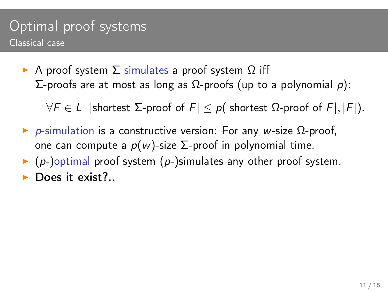### Optimal proof systems Classical case

 $\triangleright$  A proof system  $\Sigma$  simulates a proof system Ω iff  $\Sigma$ -proofs are at most as long as  $\Omega$ -proofs (up to a polynomial *p*):

 $\forall F \in L$  |shortest  $\Sigma$ -proof of  $F \leq p$ (|shortest  $\Omega$ -proof of  $F$ |, | $F$ |).

- $\triangleright$  *p*-simulation is a constructive version: For any w-size Ω-proof, one can compute a  $p(w)$ -size Σ-proof in polynomial time.
- $\triangleright$  (p-)optimal proof system (p-)simulates any other proof system.
- Does it exist?..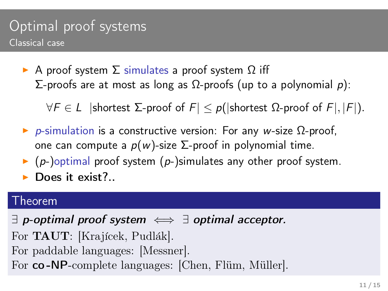### Optimal proof systems Classical case

 $\triangleright$  A proof system Σ simulates a proof system Ω iff  $\Sigma$ -proofs are at most as long as  $\Omega$ -proofs (up to a polynomial *p*):

 $\forall F \in L$  |shortest  $\Sigma$ -proof of  $F \leq p$ (|shortest  $\Omega$ -proof of  $F$ |, | $F$ |).

- $\triangleright$  p-simulation is a constructive version: For any w-size  $\Omega$ -proof, one can compute a  $p(w)$ -size Σ-proof in polynomial time.
- $\triangleright$  (p-)optimal proof system (p-)simulates any other proof system.
- $\blacktriangleright$  Does it exist?..

#### Theorem

 $\exists$  p-optimal proof system  $\iff \exists$  optimal acceptor. For **TAUT**: [Krajícek, Pudlák]. For paddable languages: [Messner]. For co-NP-complete languages: [Chen, Flüm, Müller].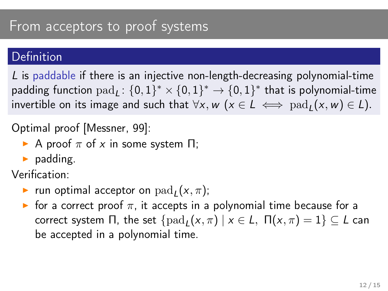#### Definition

L is paddable if there is an injective non-length-decreasing polynomial-time padding function  $\text{pad}_L \colon \{0,1\}^* \times \{0,1\}^* \to \{0,1\}^*$  that is polynomial-time invertible on its image and such that  $\forall x, w \ (x \in L \iff \text{pad}_{L}(x, w) \in L).$ 

Optimal proof [Messner, 99]:

- A proof  $\pi$  of x in some system  $\Pi$ ;
- $\blacktriangleright$  padding.

Verification:

- **•** run optimal acceptor on  $\text{pad}_L(x, \pi)$ ;
- **If** for a correct proof  $\pi$ , it accepts in a polynomial time because for a correct system Π, the set  $\{pad_{L}(x, \pi) | x \in L, \Pi(x, \pi) = 1\} \subseteq L$  can be accepted in a polynomial time.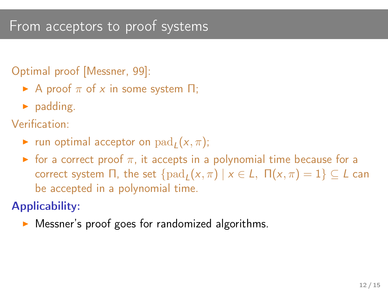### From acceptors to proof systems

#### Optimal proof [Messner, 99]:

- A proof  $\pi$  of x in some system  $\Pi$ ;
- $\blacktriangleright$  padding.

Verification:

- $\blacktriangleright$  run optimal acceptor on  $\text{pad}_L(x, \pi)$ ;
- $\triangleright$  for a correct proof  $\pi$ , it accepts in a polynomial time because for a correct system Π, the set  $\{pad_L(x, \pi) | x \in L, \Pi(x, \pi) = 1\} \subseteq L$  can be accepted in a polynomial time.

### Applicability:

Messner's proof goes for randomized algorithms.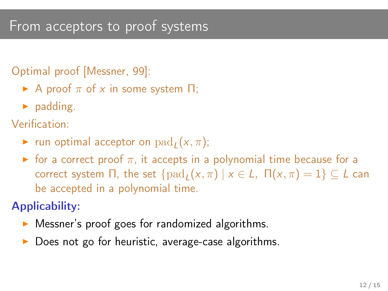### From acceptors to proof systems

#### Optimal proof [Messner, 99]:

- A proof  $\pi$  of x in some system  $\Pi$ ;
- $\blacktriangleright$  padding.

Verification:

- $\blacktriangleright$  run optimal acceptor on  $\text{pad}_L(x, \pi)$ ;
- $\triangleright$  for a correct proof  $\pi$ , it accepts in a polynomial time because for a correct system Π, the set  $\{pad_L(x, \pi) | x \in L, \Pi(x, \pi) = 1\} \subseteq L$  can be accepted in a polynomial time.

### Applicability:

- Messner's proof goes for randomized algorithms.
- Does not go for heuristic, average-case algorithms.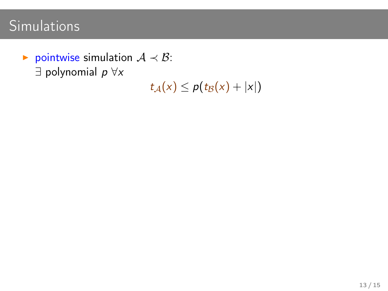$\triangleright$  pointwise simulation  $A \prec B$ :  $\exists$  polynomial  $p \forall x$ 

 $t_A(x) \leq p(t_B(x) + |x|)$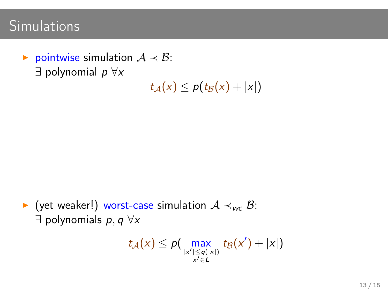$\triangleright$  pointwise simulation  $A \prec B$ :  $\exists$  polynomial  $p \forall x$ 

 $t_A(x) \leq p(t_B(x) + |x|)$ 

 $\triangleright$  (yet weaker!) worst-case simulation  $A \prec_{wc} B$ :  $\exists$  polynomials  $p, q \forall x$ 

$$
t_{\mathcal{A}}(x) \leq p\big(\max_{\substack{|x'| \leq q(|x|) \\ x' \in L}} t_{\mathcal{B}}(x') + |x|\big)
$$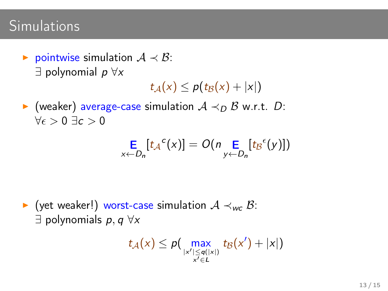$\triangleright$  pointwise simulation  $A \prec B$ :  $\exists$  polynomial  $p \forall x$ 

 $t_A(x) \leq p(t_B(x) + |x|)$ 

 $\triangleright$  (weaker) average-case simulation  $A \prec_D B$  w.r.t. D:  $\forall \epsilon > 0 \exists c > 0$ 

$$
\mathop{\mathsf{E}}\limits_{x \leftarrow D_n} [t_A{}^c(x)] = O(n \mathop{\mathsf{E}}\limits_{y \leftarrow D_n} [t_B{}^c(y)])
$$

 $\triangleright$  (yet weaker!) worst-case simulation  $A \prec_{wc} B$ :  $\exists$  polynomials  $p, q \forall x$ 

$$
t_{\mathcal{A}}(x) \leq p\big(\max_{\substack{|x'| \leq q(|x|) \\ x' \in L}} t_{\mathcal{B}}(x') + |x|\big)
$$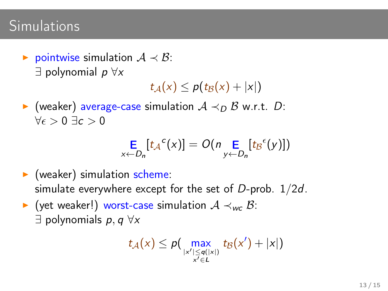► pointwise simulation  $A \prec B$ :  $\exists$  polynomial  $p \forall x$ 

 $t_A(x) \leq p(t_B(x) + |x|)$ 

 $\triangleright$  (weaker) average-case simulation  $A \prec_D B$  w.r.t. D:  $\forall \epsilon > 0 \exists c > 0$ 

$$
\mathop{\mathsf{E}}_{x \leftarrow D_n}[t_{\mathcal{A}}^{c}(x)] = O(n \mathop{\mathsf{E}}_{y \leftarrow D_n}[t_{\mathcal{B}}^{c}(y)])
$$

- $\blacktriangleright$  (weaker) simulation scheme: simulate everywhere except for the set of  $D$ -prob.  $1/2d$ .
- $\triangleright$  (yet weaker!) worst-case simulation  $A \prec_{wc} B$ :  $\exists$  polynomials  $p, q \forall x$

$$
t_{\mathcal{A}}(x) \leq p\big(\max_{\substack{|x'| \leq q(|x|) \\ x' \in L}} t_{\mathcal{B}}(x') + |x|\big)
$$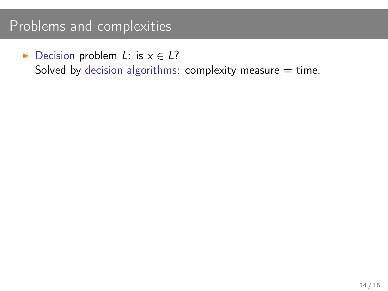$\triangleright$  Decision problem *L*: is  $x \in L$ ?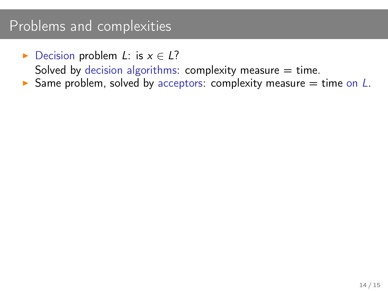- ► Decision problem L: is  $x \in L$ ?
	- Solved by decision algorithms: complexity measure  $=$  time.
- Same problem, solved by acceptors: complexity measure  $=$  time on  $L$ .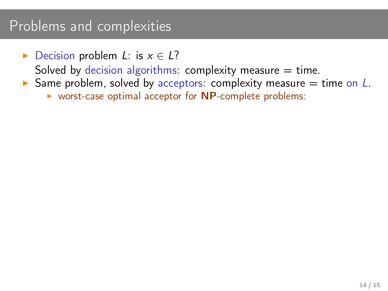► Decision problem L: is  $x \in L$ ?

- $\triangleright$  Same problem, solved by acceptors: complexity measure = time on L.
	- $\triangleright$  worst-case optimal acceptor for NP-complete problems: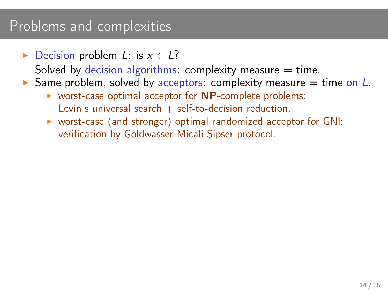► Decision problem L: is  $x \in L$ ?

- $\triangleright$  Same problem, solved by acceptors: complexity measure  $=$  time on L.
	- $\triangleright$  worst-case optimal acceptor for NP-complete problems: Levin's universal search  $+$  self-to-decision reduction.
	- ▶ worst-case (and stronger) optimal randomized acceptor for GNI: verification by Goldwasser-Micali-Sipser protocol.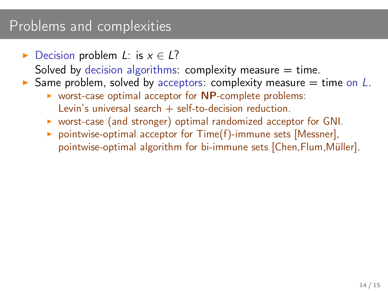► Decision problem L: is  $x \in L$ ?

- $\triangleright$  Same problem, solved by acceptors: complexity measure  $=$  time on L.
	- $\triangleright$  worst-case optimal acceptor for NP-complete problems: Levin's universal search  $+$  self-to-decision reduction.
	- $\triangleright$  worst-case (and stronger) optimal randomized acceptor for GNI.
	- $\triangleright$  pointwise-optimal acceptor for Time(f)-immune sets [Messner], pointwise-optimal algorithm for bi-immune sets [Chen, Flum, Müller].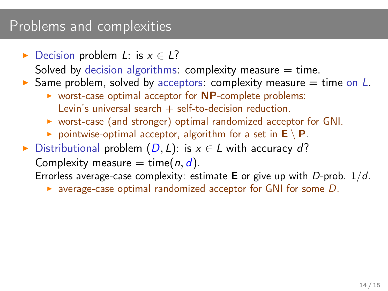► Decision problem L: is  $x \in L$ ?

Solved by decision algorithms: complexity measure  $=$  time.

- $\triangleright$  Same problem, solved by acceptors: complexity measure  $=$  time on L.
	- $\triangleright$  worst-case optimal acceptor for NP-complete problems: Levin's universal search  $+$  self-to-decision reduction.
	- $\triangleright$  worst-case (and stronger) optimal randomized acceptor for GNI.
	- pointwise-optimal acceptor, algorithm for a set in  $E \setminus P$ .
- ▶ Distributional problem  $(D, L)$ : is  $x \in L$  with accuracy d?

Complexity measure = time $(n, d)$ .

Errorless average-case complexity: estimate **E** or give up with D-prob.  $1/d$ .

 $\triangleright$  average-case optimal randomized acceptor for GNI for some D.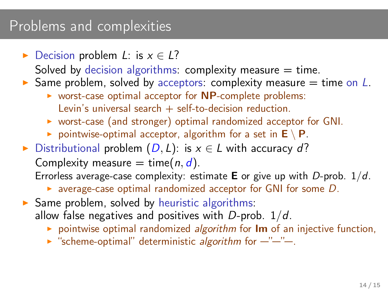► Decision problem L: is  $x \in L$ ?

Solved by decision algorithms: complexity measure  $=$  time.

- $\triangleright$  Same problem, solved by acceptors: complexity measure  $=$  time on L.
	- $\triangleright$  worst-case optimal acceptor for NP-complete problems: Levin's universal search  $+$  self-to-decision reduction.
	- $\triangleright$  worst-case (and stronger) optimal randomized acceptor for GNI.
	- pointwise-optimal acceptor, algorithm for a set in  $E \setminus P$ .
- ► Distributional problem  $(D, L)$ : is  $x \in L$  with accuracy d?

Complexity measure = time $(n, d)$ .

Errorless average-case complexity: estimate **E** or give up with D-prob.  $1/d$ .

- $\triangleright$  average-case optimal randomized acceptor for GNI for some D.
- $\triangleright$  Same problem, solved by heuristic algorithms: allow false negatives and positives with D-prob.  $1/d$ .
	- $\triangleright$  pointwise optimal randomized algorithm for Im of an injective function,
	- $\triangleright$  "scheme-optimal" deterministic algorithm for  $-$ "-"-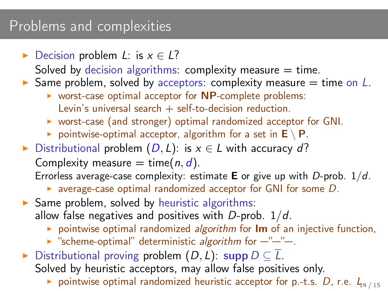► Decision problem L: is  $x \in L$ ?

Solved by decision algorithms: complexity measure  $=$  time.

- $\triangleright$  Same problem, solved by acceptors: complexity measure = time on L.
	- $\triangleright$  worst-case optimal acceptor for NP-complete problems: Levin's universal search  $+$  self-to-decision reduction.
	- $\triangleright$  worst-case (and stronger) optimal randomized acceptor for GNI.
	- pointwise-optimal acceptor, algorithm for a set in  $E \setminus P$ .
- ► Distributional problem  $(D, L)$ : is  $x \in L$  with accuracy d?

Complexity measure = time $(n, d)$ .

Errorless average-case complexity: estimate **E** or give up with D-prob.  $1/d$ .

- $\triangleright$  average-case optimal randomized acceptor for GNI for some D.
- $\triangleright$  Same problem, solved by heuristic algorithms: allow false negatives and positives with D-prob.  $1/d$ .
	- $\triangleright$  pointwise optimal randomized algorithm for Im of an injective function,
	- $\triangleright$  "scheme-optimal" deterministic algorithm for  $-$ "-"-
- ► Distributional proving problem  $(D, L)$ : supp  $D \subseteq \overline{L}$ . Solved by heuristic acceptors, may allow false positives only.
	- pointwise optimal randomized heuristic acceptor for p.-t.s. D, r.e.  $L_{14/15}$